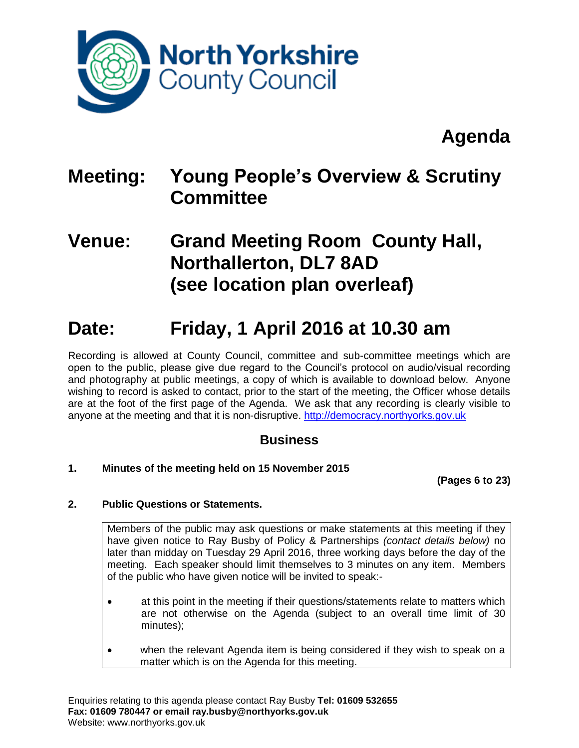

## **Agenda**

### **Meeting: Young People's Overview & Scrutiny Committee**

### **Venue: Grand Meeting Room County Hall, Northallerton, DL7 8AD (see location plan overleaf)**

## **Date: Friday, 1 April 2016 at 10.30 am**

Recording is allowed at County Council, committee and sub-committee meetings which are open to the public, please give due regard to the Council's protocol on audio/visual recording and photography at public meetings, a copy of which is available to download below. Anyone wishing to record is asked to contact, prior to the start of the meeting, the Officer whose details are at the foot of the first page of the Agenda. We ask that any recording is clearly visible to anyone at the meeting and that it is non-disruptive. [http://democracy.northyorks.gov.uk](http://democracy.northyorks.gov.uk/)

### **Business**

### **1. Minutes of the meeting held on 15 November 2015**

**(Pages 6 to 23)**

### **2. Public Questions or Statements.**

Members of the public may ask questions or make statements at this meeting if they have given notice to Ray Busby of Policy & Partnerships *(contact details below)* no later than midday on Tuesday 29 April 2016, three working days before the day of the meeting. Each speaker should limit themselves to 3 minutes on any item. Members of the public who have given notice will be invited to speak:-

- at this point in the meeting if their questions/statements relate to matters which are not otherwise on the Agenda (subject to an overall time limit of 30 minutes);
- when the relevant Agenda item is being considered if they wish to speak on a matter which is on the Agenda for this meeting.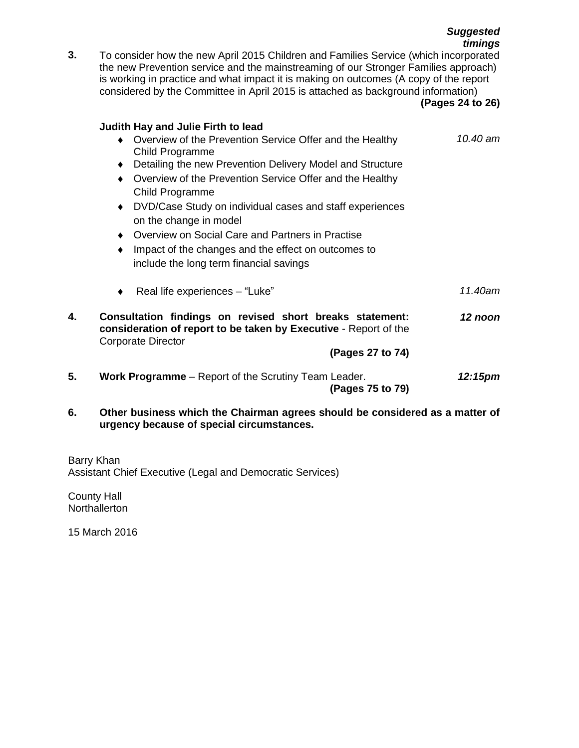*Suggested timings*

**3.** To consider how the new April 2015 Children and Families Service (which incorporated the new Prevention service and the mainstreaming of our Stronger Families approach) is working in practice and what impact it is making on outcomes (A copy of the report considered by the Committee in April 2015 is attached as background information)

**(Pages 24 to 26)**

|    | Judith Hay and Julie Firth to lead                                                                                                                        |          |
|----|-----------------------------------------------------------------------------------------------------------------------------------------------------------|----------|
|    | Overview of the Prevention Service Offer and the Healthy<br>Child Programme                                                                               | 10.40 am |
|    | Detailing the new Prevention Delivery Model and Structure                                                                                                 |          |
|    | Overview of the Prevention Service Offer and the Healthy<br>Child Programme                                                                               |          |
|    | DVD/Case Study on individual cases and staff experiences<br>on the change in model                                                                        |          |
|    | • Overview on Social Care and Partners in Practise                                                                                                        |          |
|    | Impact of the changes and the effect on outcomes to                                                                                                       |          |
|    | include the long term financial savings                                                                                                                   |          |
|    | Real life experiences - "Luke"                                                                                                                            | 11.40am  |
| 4. | Consultation findings on revised short breaks statement:<br>consideration of report to be taken by Executive - Report of the<br><b>Corporate Director</b> | 12 noon  |
|    | (Pages 27 to 74)                                                                                                                                          |          |
| 5. | <b>Work Programme</b> – Report of the Scrutiny Team Leader.<br>(Pages 75 to 79)                                                                           | 12:15pm  |
| 6. | Other business which the Chairman agrees should be considered as a matter of<br>urgency because of special circumstances.                                 |          |

Barry Khan Assistant Chief Executive (Legal and Democratic Services)

County Hall Northallerton

15 March 2016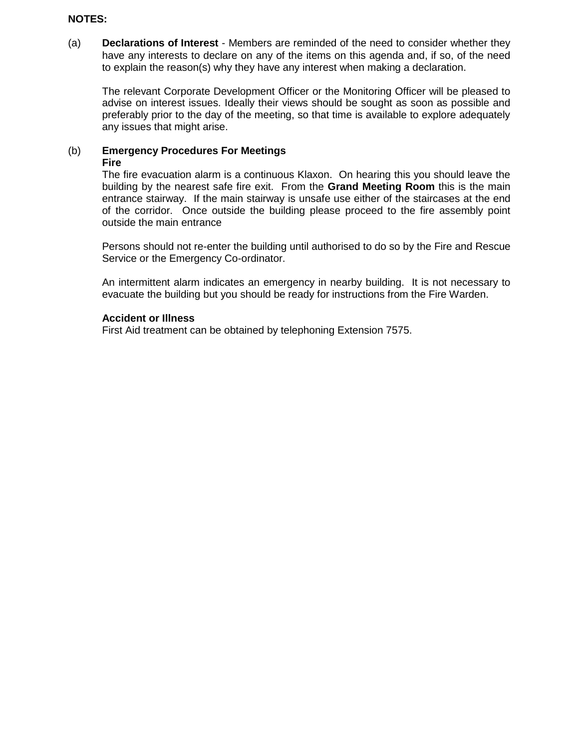#### **NOTES:**

(a) **Declarations of Interest** - Members are reminded of the need to consider whether they have any interests to declare on any of the items on this agenda and, if so, of the need to explain the reason(s) why they have any interest when making a declaration.

The relevant Corporate Development Officer or the Monitoring Officer will be pleased to advise on interest issues. Ideally their views should be sought as soon as possible and preferably prior to the day of the meeting, so that time is available to explore adequately any issues that might arise.

#### (b) **Emergency Procedures For Meetings Fire**

The fire evacuation alarm is a continuous Klaxon. On hearing this you should leave the building by the nearest safe fire exit. From the **Grand Meeting Room** this is the main entrance stairway. If the main stairway is unsafe use either of the staircases at the end of the corridor. Once outside the building please proceed to the fire assembly point outside the main entrance

Persons should not re-enter the building until authorised to do so by the Fire and Rescue Service or the Emergency Co-ordinator.

An intermittent alarm indicates an emergency in nearby building. It is not necessary to evacuate the building but you should be ready for instructions from the Fire Warden.

#### **Accident or Illness**

First Aid treatment can be obtained by telephoning Extension 7575.